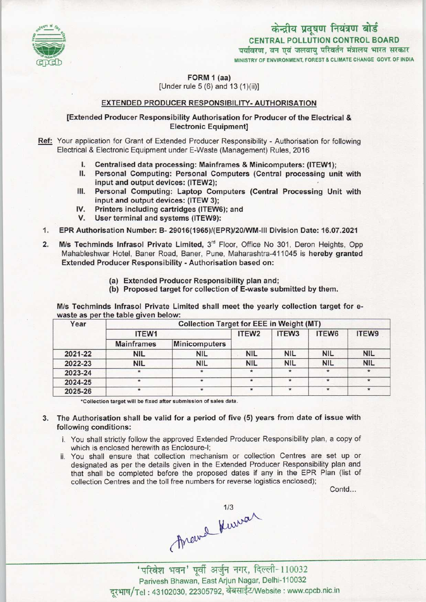

# केन्द्रीय प्रदूषण नियंत्रण बोर्ड CENTRAL POLLUTION CONTROL BOARD<br>पर्यावरण, वन एवं जलवाय परिवर्तन मंत्रालय भारत सरकार

MINISTRY OF ENVIRONMENT, FOREST & CLIMATE CHANGE GOVT. OF INDIA

FORM <sup>1</sup> (aa) [Under rule 5 (6) and 13 (1)(ii)]

# EXTENDED PRODUCER RESPONSIBILITY-AUTHORISATION

# [Extended Producer Responsibility Authorisation for Producer of the Electrical & Electronic Equipment]

Ref: Your application for Grant of Extended Producer Responsibility - Authorisation for following Electrical & Electronic Equipment under E-Waste (Management) Rules, 2016

- I. Centralised data processing: Mainframes & Minicomputers: (ITEW1);<br>II. Personal Computing: Personal Computers (Central processing un
- Personal Computing: Personal Computers (Central processing unit with input and output devices: (ITEW2);
- III. Personal Computing: Laptop Computers (Central Processing Unit with input and output devices: (ITEW 3);
- IV. Printers including cartridges (ITEW6); and
- V. User terminal and systems (ITEW9):
- 1.EPR Authorisation Number: B- 29016(1965)/(EPR)/20/WM-lll Division Date: 16.07.2021
- 2. M/s Techminds Infrasol Private Limited, 3<sup>rd</sup> Floor, Office No 301, Deron Heights, Opp Mahableshwar Hotel, Baner Road, Baner, Pune, Maharashtra-411045 is hereby granted Extended Producer Responsibility - Authorisation based on:
	- (a) Extended Producer Responsibility plan and;
	- (b) Proposed target for collection of E-waste submitted by them.

M/s Techminds Infrasol Private Limited shall meet the yearly collection target for ewaste as per the table given below:

| Year    | <b>Collection Target for EEE in Weight (MT)</b> |                      |                   |                   |            |            |
|---------|-------------------------------------------------|----------------------|-------------------|-------------------|------------|------------|
|         | ITEW1                                           |                      | ITEW <sub>2</sub> | ITEW <sub>3</sub> | ITEW6      | ITEW9      |
|         | <b>Mainframes</b>                               | <b>Minicomputers</b> |                   |                   |            |            |
| 2021-22 | <b>NIL</b>                                      | <b>NIL</b>           | <b>NIL</b>        | <b>NIL</b>        | <b>NIL</b> | <b>NIL</b> |
| 2022-23 | <b>NIL</b>                                      | <b>NIL</b>           | <b>NIL</b>        | <b>NIL</b>        | <b>NIL</b> | <b>NIL</b> |
| 2023-24 |                                                 |                      |                   | $\star$           | $\star$    | $\star$    |
| 2024-25 | $\star$                                         | $\star$              | $\star$           | $\star$           | $\star$    | $\star$    |
| 2025-26 |                                                 | $\star$              | $\star$           | $\star$           | $\star$    | $\star$    |

\*Collection target will be fixed after submission of sales data.

### 3. The Authorisation shall be valid for a period of five (5) yearsfrom date of issue with following conditions:

- i. You shall strictly follow the approved Extended Producer Responsibility plan, a copy of which is enclosed herewith as Enclosure-I;
- ii. You shall ensure that collection mechanism or collection Centres are set up or designated as per the details given in the Extended Producer Responsibility plan and that shall be completed before the proposed dates if any in the EPR Plan (list of collection Centres and the toll free numbers for reverse logistics enclosed);

Contd...

Arcival Kurrar

न' पूर्वी अर्जुन नगर, दिल्ली-110032 Parivesh Bhawan, EastArjun Nagar, Delhi-110032 दरभाष/Tel: 43102030, 22305792, वेबसाईट/Website: www.cpcb.nic.in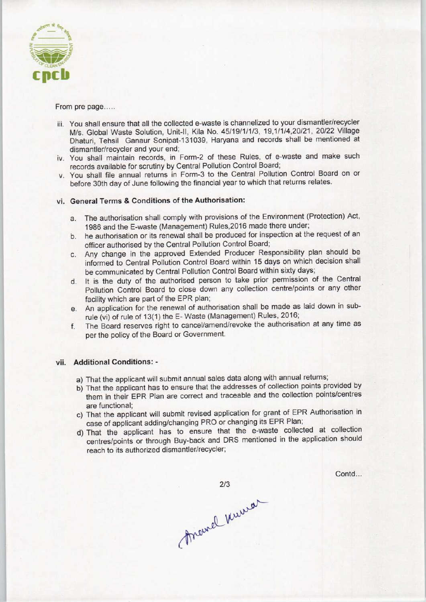

#### From pre page.....

- iii. You shall ensure that all the collected e-waste is channelized to your dismantler/recycler M/s. Global Waste Solution, Unit-ll, Kila No. 45/19/1/1/3, 19,1/1/4,20/21, 20/22 Village Dhaturi, Tehsil Ganaur Sonipat-131039, Haryana and records shall be mentioned at dismantler/recycler and your end;
- iv. You shall maintain records, in Form-2 of these Rules, of e-waste and make such records available for scrutiny by Central Pollution Control Board;
- v. You shall file annual returns in Form-3 to the Central Pollution Control Board on or before 30th day of June following the financial year to which that returns relates.

# vi. General Terms & Conditions of the Authorisation:

- a. The authorisation shall comply with provisions of the Environment (Protection) Act, 1986 and the E-waste (Management) Rules,2016 made there under;
- b. he authorisation or its renewal shall be produced for inspection at the request of an officer authorised by the Central Pollution Control Board;
- c.Any change in the approved Extended Producer Responsibility plan should be informed to Central Pollution Control Board within 15 days on which decision shall be communicated by Central Pollution Control Board within sixty days;
- d. It is the duty of the authorised person to take prior permission of the Central Pollution Control Board to close down any collection centre/points or any other facility which are part of the EPR plan;
- e.An application for the renewal of authorisation shall be made aslaid down in subrule (vi) of rule of 13(1) the E- Waste (Management) Rules, 2016;
- f. The Board reserves right to cancel/amend/revoke the authorisation at any time as per the policy of the Board or Government.

## vii. Additional Conditions: -

- a) That the applicant will submit annual sales data along with annual returns;
- b) That the applicant has to ensure that the addresses of collection points provided by them in their EPR Plan are correct and traceable and the collection points/centres are functional;
- c) That the applicant will submit revised application for grant of EPR Authorisation in case of applicant adding/changing PRO or changing its EPR Plan;
- d)That the applicant has to ensure that the e-waste collected at collection centres/points or through Buy-back and DRS mentioned in the application should reach to its authorized dismantler/recycler;

Contd...

2/3<br>Anemal Kurrar